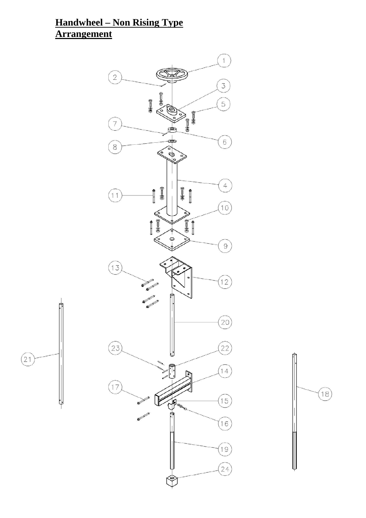# **Handwheel – Non Rising Type Arrangement**

 $\boxed{21}$ 



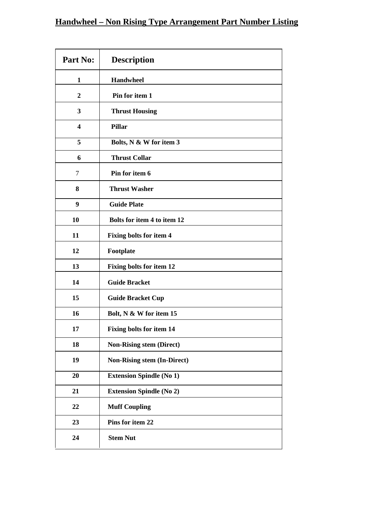# **Handwheel – Non Rising Type Arrangement Part Number Listing**

| Part No:         | <b>Description</b>                 |
|------------------|------------------------------------|
| 1                | <b>Handwheel</b>                   |
| $\boldsymbol{2}$ | Pin for item 1                     |
| 3                | <b>Thrust Housing</b>              |
| 4                | <b>Pillar</b>                      |
| 5                | Bolts, N & W for item 3            |
| 6                | <b>Thrust Collar</b>               |
| $\tau$           | Pin for item 6                     |
| 8                | <b>Thrust Washer</b>               |
| 9                | <b>Guide Plate</b>                 |
| 10               | Bolts for item 4 to item 12        |
| 11               | <b>Fixing bolts for item 4</b>     |
| 12               | Footplate                          |
| 13               | <b>Fixing bolts for item 12</b>    |
| 14               | <b>Guide Bracket</b>               |
| 15               | <b>Guide Bracket Cup</b>           |
| 16               | Bolt, N & W for item 15            |
| 17               | <b>Fixing bolts for item 14</b>    |
| 18               | <b>Non-Rising stem (Direct)</b>    |
| 19               | <b>Non-Rising stem (In-Direct)</b> |
| 20               | <b>Extension Spindle (No 1)</b>    |
| 21               | <b>Extension Spindle (No 2)</b>    |
| 22               | <b>Muff Coupling</b>               |
| 23               | Pins for item 22                   |
| 24               | <b>Stem Nut</b>                    |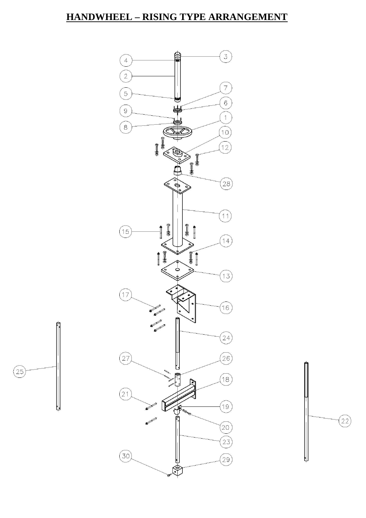### **HANDWHEEL – RISING TYPE ARRANGEMENT**



 $\boxed{25}$ 

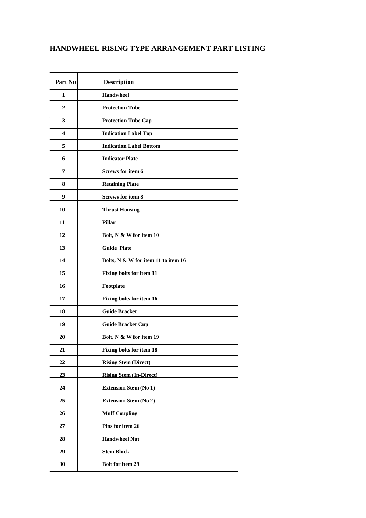#### **HANDWHEEL-RISING TYPE ARRANGEMENT PART LISTING**

| Part No                 | <b>Description</b>                  |
|-------------------------|-------------------------------------|
| 1                       | <b>Handwheel</b>                    |
| $\overline{2}$          | <b>Protection Tube</b>              |
| 3                       | <b>Protection Tube Cap</b>          |
| $\overline{\mathbf{4}}$ | <b>Indication Label Top</b>         |
| 5                       | <b>Indication Label Bottom</b>      |
| 6                       | <b>Indicator Plate</b>              |
| 7                       | <b>Screws for item 6</b>            |
| 8                       | <b>Retaining Plate</b>              |
| 9                       | <b>Screws for item 8</b>            |
| 10                      | <b>Thrust Housing</b>               |
| 11                      | Pillar                              |
| 12                      | Bolt, N & W for item 10             |
| 13                      | <b>Guide Plate</b>                  |
| 14                      | Bolts, N & W for item 11 to item 16 |
| 15                      | Fixing bolts for item 11            |
| 16                      | Footplate                           |
| 17                      | Fixing bolts for item 16            |
| 18                      | <b>Guide Bracket</b>                |
| 19                      | <b>Guide Bracket Cup</b>            |
| 20                      | Bolt, N & W for item 19             |
| 21                      | <b>Fixing bolts for item 18</b>     |
| 22                      | <b>Rising Stem (Direct)</b>         |
| 23                      | <b>Rising Stem (In-Direct)</b>      |
| 24                      | <b>Extension Stem (No 1)</b>        |
| 25                      | <b>Extension Stem (No 2)</b>        |
| 26                      | <b>Muff Coupling</b>                |
| 27                      | Pins for item 26                    |
| 28                      | <b>Handwheel Nut</b>                |
| 29                      | <b>Stem Block</b>                   |
| 30                      | <b>Bolt for item 29</b>             |